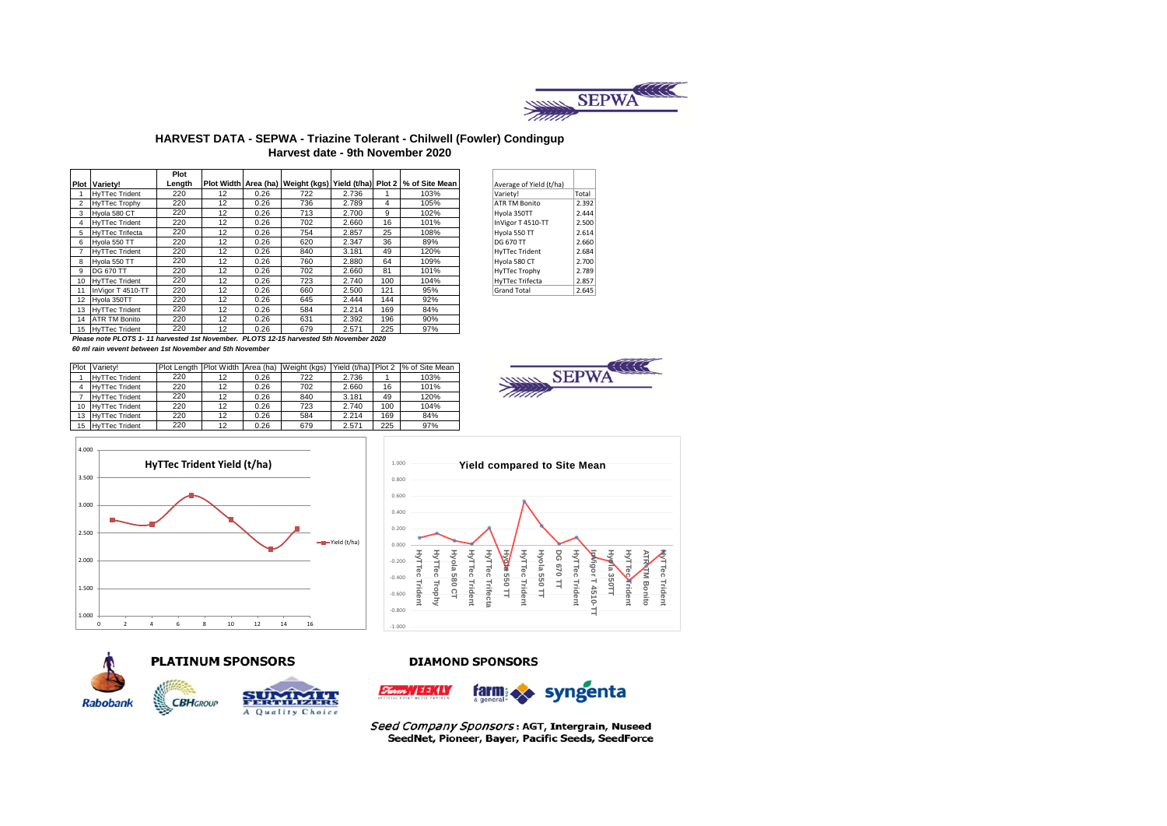

### **HARVEST DATA - SEPWA - Triazine Tolerant - Chilwell (Fowler) Condingup Harvest date - 9th November 2020**

|                 |                                                                                        | Plot   |    |      |     |       |     |                                                                        |                         |       |
|-----------------|----------------------------------------------------------------------------------------|--------|----|------|-----|-------|-----|------------------------------------------------------------------------|-------------------------|-------|
|                 | <b>Plot Variety!</b>                                                                   | Lenath |    |      |     |       |     | Plot Width Area (ha) Weight (kgs) Yield (t/ha) Plot 2   % of Site Mean | Average of Yield (t/ha) |       |
|                 | <b>HvTTec Trident</b>                                                                  | 220    | 12 | 0.26 | 722 | 2.736 |     | 103%                                                                   | Varietv!                | Total |
|                 | <b>HvTTec Trophy</b>                                                                   | 220    | 12 | 0.26 | 736 | 2.789 | 4   | 105%                                                                   | ATR TM Bonito           | 2.392 |
| 3               | Hvola 580 CT                                                                           | 220    | 12 | 0.26 | 713 | 2.700 | 9   | 102%                                                                   | Hyola 350TT             | 2.444 |
| 4               | <b>HyTTec Trident</b>                                                                  | 220    | 12 | 0.26 | 702 | 2.660 | 16  | 101%                                                                   | InVigor T 4510-TT       | 2.500 |
| 5               | <b>HyTTec Trifecta</b>                                                                 | 220    | 12 | 0.26 | 754 | 2.857 | 25  | 108%                                                                   | Hyola 550 TT            | 2.614 |
| 6               | Hvola 550 TT                                                                           | 220    | 12 | 0.26 | 620 | 2.347 | 36  | 89%                                                                    | DG 670 TT               | 2.660 |
|                 | <b>HyTTec Trident</b>                                                                  | 220    | 12 | 0.26 | 840 | 3.181 | 49  | 120%                                                                   | <b>HyTTec Trident</b>   | 2.684 |
| 8               | Hvola 550 TT                                                                           | 220    | 12 | 0.26 | 760 | 2.880 | 64  | 109%                                                                   | Hyola 580 CT            | 2.700 |
| 9               | <b>DG 670 TT</b>                                                                       | 220    | 12 | 0.26 | 702 | 2.660 | 81  | 101%                                                                   | HyTTec Trophy           | 2.789 |
| 10 <sup>1</sup> | <b>HyTTec Trident</b>                                                                  | 220    | 12 | 0.26 | 723 | 2.740 | 100 | 104%                                                                   | HyTTec Trifecta         | 2.857 |
| 11              | InVigor T 4510-TT                                                                      | 220    | 12 | 0.26 | 660 | 2.500 | 121 | 95%                                                                    | <b>Grand Total</b>      | 2.645 |
| 12              | Hvola 350TT                                                                            | 220    | 12 | 0.26 | 645 | 2.444 | 144 | 92%                                                                    |                         |       |
| 13              | <b>HyTTec Trident</b>                                                                  | 220    | 12 | 0.26 | 584 | 2.214 | 169 | 84%                                                                    |                         |       |
|                 | 14 ATR TM Bonito                                                                       | 220    | 12 | 0.26 | 631 | 2.392 | 196 | 90%                                                                    |                         |       |
| 15              | <b>HyTTec Trident</b>                                                                  | 220    | 12 | 0.26 | 679 | 2.571 | 225 | 97%                                                                    |                         |       |
|                 | Please note PLOTS 1-11 harvested 1st November. PLOTS 12-15 harvested 5th November 2020 |        |    |      |     |       |     |                                                                        |                         |       |

| Average of Yield (t/ha) |       |  |
|-------------------------|-------|--|
| /ariety!                | Total |  |
| <b>ATR TM Bonito</b>    | 2.392 |  |
| Iyola 350TT             | 2.444 |  |
| nVigor T 4510-TT        | 2.500 |  |
| Iyola 550 TT            | 2.614 |  |
| <b>OG 670 TT</b>        | 2.660 |  |
| <b>IyTTec Trident</b>   | 2.684 |  |
| lyola 580 CT            | 2.700 |  |
| lyTTec Trophy           | 2.789 |  |
| lyTTec Trifecta         | 2.857 |  |
| Grand Total             | 2.645 |  |
|                         |       |  |



*60 ml rain vevent between 1st November and 5th November*

| Plot | Variety!              |     |    |      | Plot Length   Plot Width   Area (ha)   Weight (kgs) |       |     | Yield (t/ha) Plot 2 % of Site Mean |
|------|-----------------------|-----|----|------|-----------------------------------------------------|-------|-----|------------------------------------|
|      | <b>HyTTec Trident</b> | 220 | 12 | 0.26 | 722                                                 | 2.736 |     | 103%                               |
|      | <b>HyTTec Trident</b> | 220 | 12 | 0.26 | 702                                                 | 2.660 | 16  | 101%                               |
|      | <b>HyTTec Trident</b> | 220 | 12 | 0.26 | 840                                                 | 3.181 | 49  | 120%                               |
| 10   | <b>HyTTec Trident</b> | 220 | 12 | 0.26 | 723                                                 | 2.740 | 100 | 104%                               |
| 13   | <b>HvTTec Trident</b> | 220 | 12 | 0.26 | 584                                                 | 2.214 | 169 | 84%                                |
| 15   | <b>HyTTec Trident</b> | 220 | 12 | 0.26 | 679                                                 | 2.571 | 225 | 97%                                |









#### **PLATINUM SPONSORS**



#### **DIAMOND SPONSORS**





Seed Company Sponsors: AGT, Intergrain, Nuseed SeedNet, Pioneer, Bayer, Pacific Seeds, SeedForce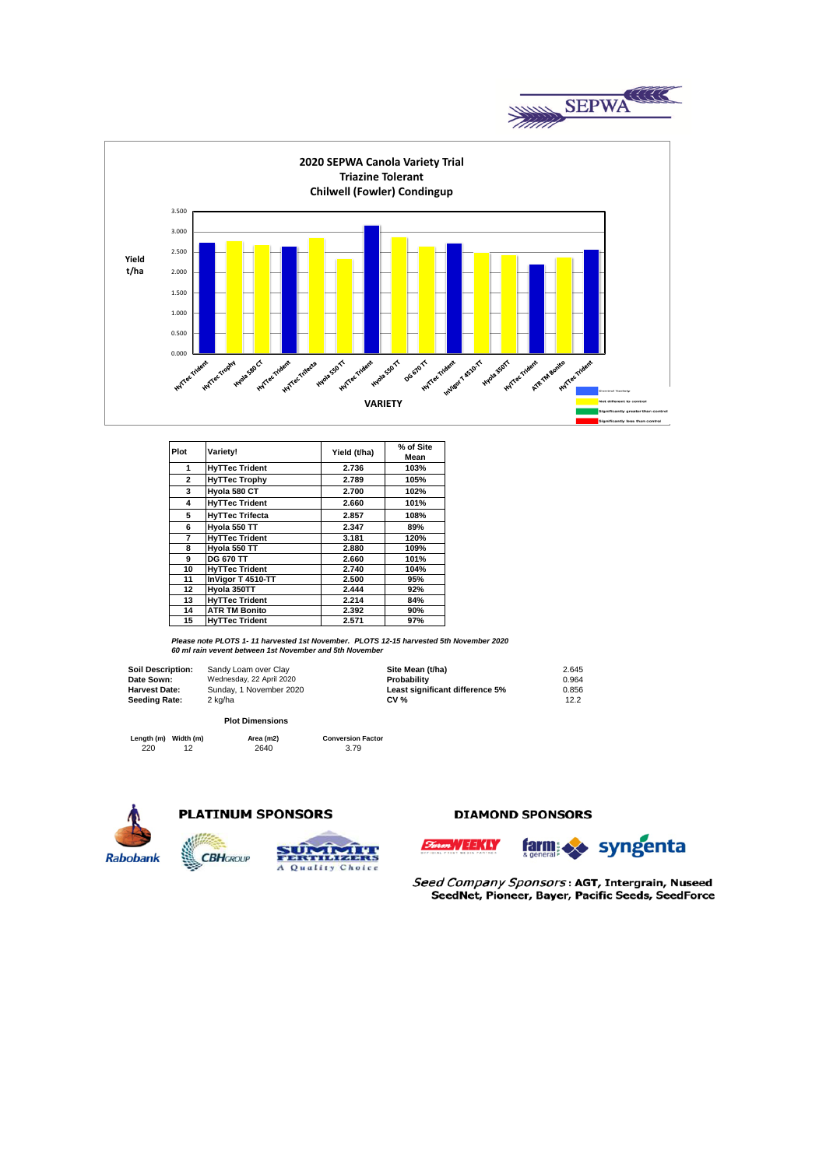



| Plot           | Variety!               | Yield (t/ha) | % of Site<br>Mean |
|----------------|------------------------|--------------|-------------------|
| 1              | <b>HyTTec Trident</b>  | 2.736        | 103%              |
| $\overline{2}$ | <b>HyTTec Trophy</b>   | 2.789        | 105%              |
| 3              | Hyola 580 CT           | 2.700        | 102%              |
| 4              | <b>HyTTec Trident</b>  | 2.660        | 101%              |
| 5              | <b>HyTTec Trifecta</b> | 2.857        | 108%              |
| 6              | Hyola 550 TT           | 2.347        | 89%               |
| 7              | <b>HvTTec Trident</b>  | 3.181        | 120%              |
| 8              | Hvola 550 TT           | 2.880        | 109%              |
| 9              | <b>DG 670 TT</b>       | 2.660        | 101%              |
| 10             | <b>HvTTec Trident</b>  | 2.740        | 104%              |
| 11             | InVigor T 4510-TT      | 2.500        | 95%               |
| 12             | Hvola 350TT            | 2.444        | 92%               |
| 13             | <b>HvTTec Trident</b>  | 2.214        | 84%               |
| 14             | <b>ATR TM Bonito</b>   | 2.392        | 90%               |
| 15             | <b>HyTTec Trident</b>  | 2.571        | 97%               |

*Please note PLOTS 1- 11 harvested 1st November. PLOTS 12-15 harvested 5th November 2020 60 ml rain vevent between 1st November and 5th November*

**Soil Description: Date Sown: Harvest Date: Seeding Rate:**

| Sandy Loam over Clay     | Site Mean (t/ha)                | 2.645 |
|--------------------------|---------------------------------|-------|
| Wednesday, 22 April 2020 | Probability                     | 0.964 |
| Sunday, 1 November 2020  | Least significant difference 5% | 0.856 |
| 2 kg/ha                  | $CV \%$                         | 12.2  |

#### **Plot Dimensions**

220 12 2640 3.79 **Length (m) Width (m) Area (m2) Conversion Factor**





**CBH**GROUP



### **DIAMOND SPONSORS**



Seed Company Sponsors: AGT, Intergrain, Nuseed SeedNet, Pioneer, Bayer, Pacific Seeds, SeedForce